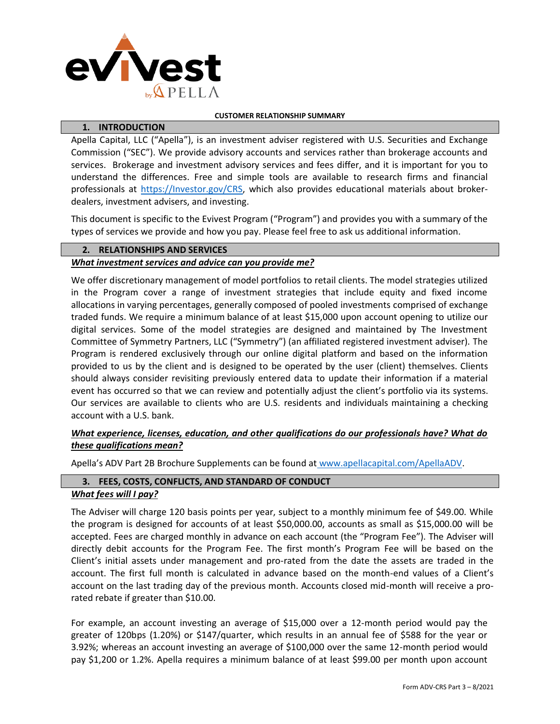

#### **CUSTOMER RELATIONSHIP SUMMARY**

#### **1. INTRODUCTION**

Apella Capital, LLC ("Apella"), is an investment adviser registered with U.S. Securities and Exchange Commission ("SEC"). We provide advisory accounts and services rather than brokerage accounts and services. Brokerage and investment advisory services and fees differ, and it is important for you to understand the differences. Free and simple tools are available to research firms and financial professionals at [https://Investor.gov/CRS,](https://investor.gov/CRS) which also provides educational materials about brokerdealers, investment advisers, and investing.

This document is specific to the Evivest Program ("Program") and provides you with a summary of the types of services we provide and how you pay. Please feel free to ask us additional information.

### **2. RELATIONSHIPS AND SERVICES**

## *What investment services and advice can you provide me?*

We offer discretionary management of model portfolios to retail clients. The model strategies utilized in the Program cover a range of investment strategies that include equity and fixed income allocations in varying percentages, generally composed of pooled investments comprised of exchange traded funds. We require a minimum balance of at least \$15,000 upon account opening to utilize our digital services. Some of the model strategies are designed and maintained by The Investment Committee of Symmetry Partners, LLC ("Symmetry") (an affiliated registered investment adviser). The Program is rendered exclusively through our online digital platform and based on the information provided to us by the client and is designed to be operated by the user (client) themselves. Clients should always consider revisiting previously entered data to update their information if a material event has occurred so that we can review and potentially adjust the client's portfolio via its systems. Our services are available to clients who are U.S. residents and individuals maintaining a checking account with a U.S. bank.

# *What experience, licenses, education, and other qualifications do our professionals have? What do these qualifications mean?*

Apella's ADV Part 2B Brochure Supplements can be found at www.apellacapital.com/ApellaADV.

## **3. FEES, COSTS, CONFLICTS, AND STANDARD OF CONDUCT**

## *What fees will I pay?*

The Adviser will charge 120 basis points per year, subject to a monthly minimum fee of \$49.00. While the program is designed for accounts of at least \$50,000.00, accounts as small as \$15,000.00 will be accepted. Fees are charged monthly in advance on each account (the "Program Fee"). The Adviser will directly debit accounts for the Program Fee. The first month's Program Fee will be based on the Client's initial assets under management and pro-rated from the date the assets are traded in the account. The first full month is calculated in advance based on the month-end values of a Client's account on the last trading day of the previous month. Accounts closed mid-month will receive a prorated rebate if greater than \$10.00.

For example, an account investing an average of \$15,000 over a 12-month period would pay the greater of 120bps (1.20%) or \$147/quarter, which results in an annual fee of \$588 for the year or 3.92%; whereas an account investing an average of \$100,000 over the same 12-month period would pay \$1,200 or 1.2%. Apella requires a minimum balance of at least \$99.00 per month upon account